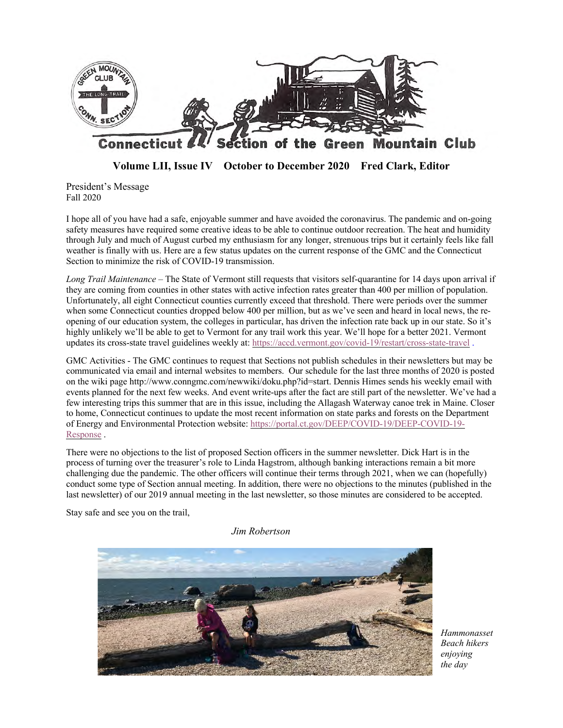

**Volume LII, Issue IV October to December 2020 Fred Clark, Editor**

President's Message Fall 2020

I hope all of you have had a safe, enjoyable summer and have avoided the coronavirus. The pandemic and on-going safety measures have required some creative ideas to be able to continue outdoor recreation. The heat and humidity through July and much of August curbed my enthusiasm for any longer, strenuous trips but it certainly feels like fall weather is finally with us. Here are a few status updates on the current response of the GMC and the Connecticut Section to minimize the risk of COVID-19 transmission.

*Long Trail Maintenance* – The State of Vermont still requests that visitors self-quarantine for 14 days upon arrival if they are coming from counties in other states with active infection rates greater than 400 per million of population. Unfortunately, all eight Connecticut counties currently exceed that threshold. There were periods over the summer when some Connecticut counties dropped below 400 per million, but as we've seen and heard in local news, the reopening of our education system, the colleges in particular, has driven the infection rate back up in our state. So it's highly unlikely we'll be able to get to Vermont for any trail work this year. We'll hope for a better 2021. Vermont updates its cross-state travel guidelines weekly at: https://accd.vermont.gov/covid-19/restart/cross-state-travel .

GMC Activities - The GMC continues to request that Sections not publish schedules in their newsletters but may be communicated via email and internal websites to members. Our schedule for the last three months of 2020 is posted on the wiki page http://www.conngmc.com/newwiki/doku.php?id=start. Dennis Himes sends his weekly email with events planned for the next few weeks. And event write-ups after the fact are still part of the newsletter. We've had a few interesting trips this summer that are in this issue, including the Allagash Waterway canoe trek in Maine. Closer to home, Connecticut continues to update the most recent information on state parks and forests on the Department of Energy and Environmental Protection website: https://portal.ct.gov/DEEP/COVID-19/DEEP-COVID-19- Response .

There were no objections to the list of proposed Section officers in the summer newsletter. Dick Hart is in the process of turning over the treasurer's role to Linda Hagstrom, although banking interactions remain a bit more challenging due the pandemic. The other officers will continue their terms through 2021, when we can (hopefully) conduct some type of Section annual meeting. In addition, there were no objections to the minutes (published in the last newsletter) of our 2019 annual meeting in the last newsletter, so those minutes are considered to be accepted.

Stay safe and see you on the trail,

*Jim Robertson*



*Hammonasset enjoying the day*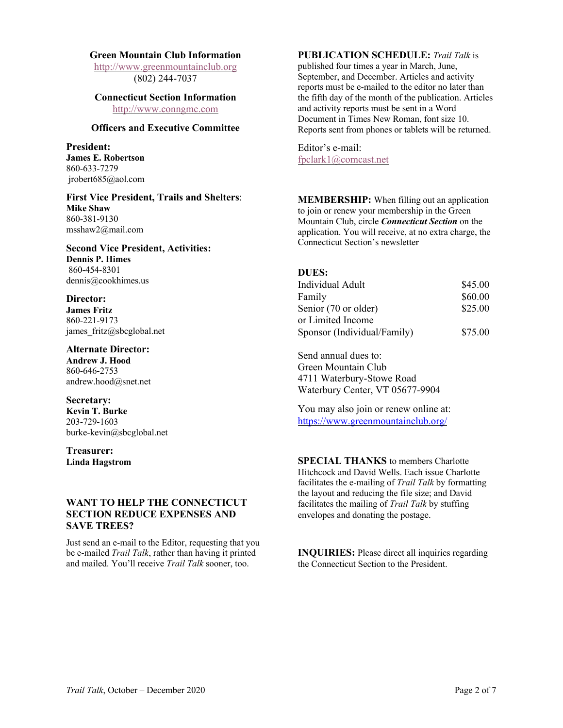#### **Green Mountain Club Information**

http://www.greenmountainclub.org (802) 244-7037

#### **Connecticut Section Information** http://www.conngmc.com

## **Officers and Executive Committee**

**President: James E. Robertson** 860-633-7279 jrobert685@aol.com

**First Vice President, Trails and Shelters**: **Mike Shaw** 860-381-9130 msshaw2@mail.com

**Second Vice President, Activities: Dennis P. Himes** 860-454-8301 dennis@cookhimes.us

**Director: James Fritz** 860-221-9173 james\_fritz@sbcglobal.net

**Alternate Director: Andrew J. Hood** 860-646-2753 andrew.hood@snet.net

**Secretary: Kevin T. Burke** 203-729-1603 burke-kevin@sbcglobal.net

**Treasurer: Linda Hagstrom**

# **WANT TO HELP THE CONNECTICUT SECTION REDUCE EXPENSES AND SAVE TREES?**

Just send an e-mail to the Editor, requesting that you be e-mailed *Trail Talk*, rather than having it printed and mailed. You'll receive *Trail Talk* sooner, too.

## **PUBLICATION SCHEDULE:** *Trail Talk* is

published four times a year in March, June, September, and December. Articles and activity reports must be e-mailed to the editor no later than the fifth day of the month of the publication. Articles and activity reports must be sent in a Word Document in Times New Roman, font size 10. Reports sent from phones or tablets will be returned.

Editor's e-mail: fpclark1@comcast.net

**MEMBERSHIP:** When filling out an application to join or renew your membership in the Green Mountain Club, circle *Connecticut Section* on the application. You will receive, at no extra charge, the Connecticut Section's newsletter

### **DUES:**

| Individual Adult            | \$45.00 |
|-----------------------------|---------|
| Family                      | \$60.00 |
| Senior (70 or older)        | \$25.00 |
| or Limited Income           |         |
| Sponsor (Individual/Family) | \$75.00 |

Send annual dues to: Green Mountain Club 4711 Waterbury-Stowe Road Waterbury Center, VT 05677-9904

You may also join or renew online at: https://www.greenmountainclub.org/

**SPECIAL THANKS** to members Charlotte Hitchcock and David Wells. Each issue Charlotte facilitates the e-mailing of *Trail Talk* by formatting the layout and reducing the file size; and David facilitates the mailing of *Trail Talk* by stuffing envelopes and donating the postage.

**INQUIRIES:** Please direct all inquiries regarding the Connecticut Section to the President.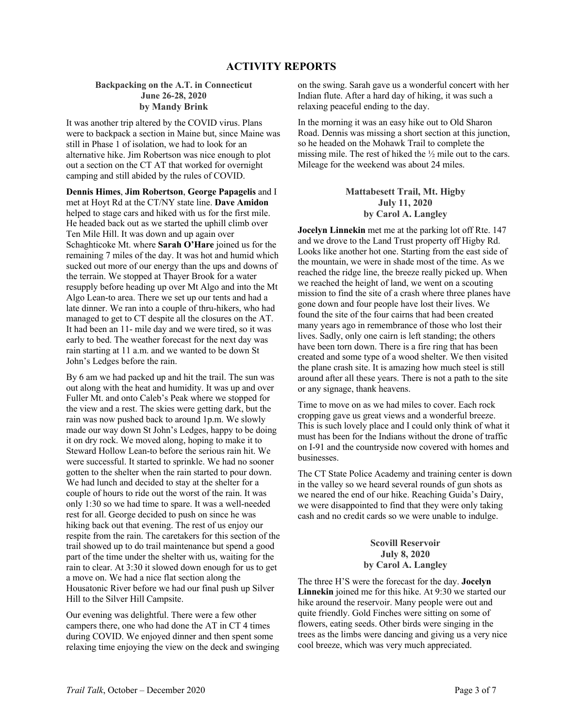#### **Backpacking on the A.T. in Connecticut June 26-28, 2020 by Mandy Brink**

It was another trip altered by the COVID virus. Plans were to backpack a section in Maine but, since Maine was still in Phase 1 of isolation, we had to look for an alternative hike. Jim Robertson was nice enough to plot out a section on the CT AT that worked for overnight camping and still abided by the rules of COVID.

**Dennis Himes**, **Jim Robertson**, **George Papagelis** and I met at Hoyt Rd at the CT/NY state line. **Dave Amidon** helped to stage cars and hiked with us for the first mile. He headed back out as we started the uphill climb over Ten Mile Hill. It was down and up again over Schaghticoke Mt. where **Sarah O'Hare** joined us for the remaining 7 miles of the day. It was hot and humid which sucked out more of our energy than the ups and downs of the terrain. We stopped at Thayer Brook for a water resupply before heading up over Mt Algo and into the Mt Algo Lean-to area. There we set up our tents and had a late dinner. We ran into a couple of thru-hikers, who had managed to get to CT despite all the closures on the AT. It had been an 11- mile day and we were tired, so it was early to bed. The weather forecast for the next day was rain starting at 11 a.m. and we wanted to be down St John's Ledges before the rain.

By 6 am we had packed up and hit the trail. The sun was out along with the heat and humidity. It was up and over Fuller Mt. and onto Caleb's Peak where we stopped for the view and a rest. The skies were getting dark, but the rain was now pushed back to around 1p.m. We slowly made our way down St John's Ledges, happy to be doing it on dry rock. We moved along, hoping to make it to Steward Hollow Lean-to before the serious rain hit. We were successful. It started to sprinkle. We had no sooner gotten to the shelter when the rain started to pour down. We had lunch and decided to stay at the shelter for a couple of hours to ride out the worst of the rain. It was only 1:30 so we had time to spare. It was a well-needed rest for all. George decided to push on since he was hiking back out that evening. The rest of us enjoy our respite from the rain. The caretakers for this section of the trail showed up to do trail maintenance but spend a good part of the time under the shelter with us, waiting for the rain to clear. At 3:30 it slowed down enough for us to get a move on. We had a nice flat section along the Housatonic River before we had our final push up Silver Hill to the Silver Hill Campsite.

Our evening was delightful. There were a few other campers there, one who had done the AT in CT 4 times during COVID. We enjoyed dinner and then spent some relaxing time enjoying the view on the deck and swinging

on the swing. Sarah gave us a wonderful concert with her Indian flute. After a hard day of hiking, it was such a relaxing peaceful ending to the day.

In the morning it was an easy hike out to Old Sharon Road. Dennis was missing a short section at this junction, so he headed on the Mohawk Trail to complete the missing mile. The rest of hiked the ½ mile out to the cars. Mileage for the weekend was about 24 miles.

> **Mattabesett Trail, Mt. Higby July 11, 2020 by Carol A. Langley**

**Jocelyn Linnekin** met me at the parking lot off Rte. 147 and we drove to the Land Trust property off Higby Rd. Looks like another hot one. Starting from the east side of the mountain, we were in shade most of the time. As we reached the ridge line, the breeze really picked up. When we reached the height of land, we went on a scouting mission to find the site of a crash where three planes have gone down and four people have lost their lives. We found the site of the four cairns that had been created many years ago in remembrance of those who lost their lives. Sadly, only one cairn is left standing; the others have been torn down. There is a fire ring that has been created and some type of a wood shelter. We then visited the plane crash site. It is amazing how much steel is still around after all these years. There is not a path to the site or any signage, thank heavens.

Time to move on as we had miles to cover. Each rock cropping gave us great views and a wonderful breeze. This is such lovely place and I could only think of what it must has been for the Indians without the drone of traffic on I-91 and the countryside now covered with homes and businesses.

The CT State Police Academy and training center is down in the valley so we heard several rounds of gun shots as we neared the end of our hike. Reaching Guida's Dairy, we were disappointed to find that they were only taking cash and no credit cards so we were unable to indulge.

### **Scovill Reservoir July 8, 2020 by Carol A. Langley**

The three H'S were the forecast for the day. **Jocelyn Linnekin** joined me for this hike. At 9:30 we started our hike around the reservoir. Many people were out and quite friendly. Gold Finches were sitting on some of flowers, eating seeds. Other birds were singing in the trees as the limbs were dancing and giving us a very nice cool breeze, which was very much appreciated.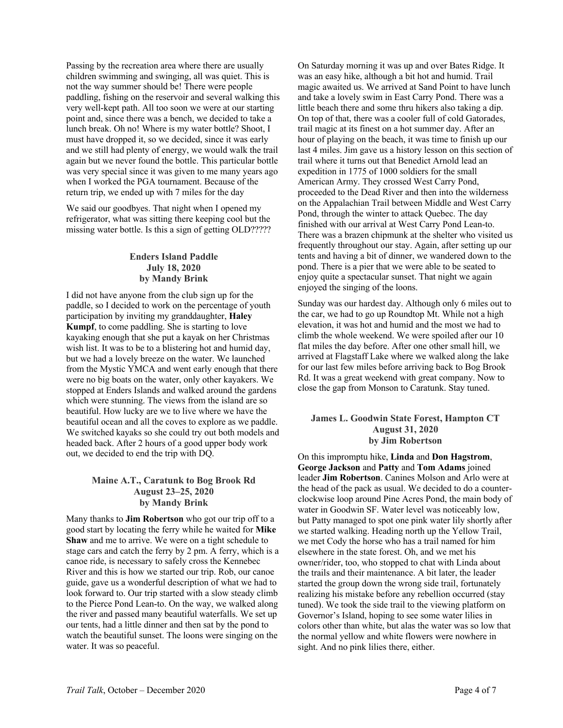Passing by the recreation area where there are usually children swimming and swinging, all was quiet. This is not the way summer should be! There were people paddling, fishing on the reservoir and several walking this very well-kept path. All too soon we were at our starting point and, since there was a bench, we decided to take a lunch break. Oh no! Where is my water bottle? Shoot, I must have dropped it, so we decided, since it was early and we still had plenty of energy, we would walk the trail again but we never found the bottle. This particular bottle was very special since it was given to me many years ago when I worked the PGA tournament. Because of the return trip, we ended up with 7 miles for the day

We said our goodbyes. That night when I opened my refrigerator, what was sitting there keeping cool but the missing water bottle. Is this a sign of getting OLD?????

## **Enders Island Paddle July 18, 2020 by Mandy Brink**

I did not have anyone from the club sign up for the paddle, so I decided to work on the percentage of youth participation by inviting my granddaughter, **Haley Kumpf**, to come paddling. She is starting to love kayaking enough that she put a kayak on her Christmas wish list. It was to be to a blistering hot and humid day, but we had a lovely breeze on the water. We launched from the Mystic YMCA and went early enough that there were no big boats on the water, only other kayakers. We stopped at Enders Islands and walked around the gardens which were stunning. The views from the island are so beautiful. How lucky are we to live where we have the beautiful ocean and all the coves to explore as we paddle. We switched kayaks so she could try out both models and headed back. After 2 hours of a good upper body work out, we decided to end the trip with DQ.

### **Maine A.T., Caratunk to Bog Brook Rd August 23–25, 2020 by Mandy Brink**

Many thanks to **Jim Robertson** who got our trip off to a good start by locating the ferry while he waited for **Mike Shaw** and me to arrive. We were on a tight schedule to stage cars and catch the ferry by 2 pm. A ferry, which is a canoe ride, is necessary to safely cross the Kennebec River and this is how we started our trip. Rob, our canoe guide, gave us a wonderful description of what we had to look forward to. Our trip started with a slow steady climb to the Pierce Pond Lean-to. On the way, we walked along the river and passed many beautiful waterfalls. We set up our tents, had a little dinner and then sat by the pond to watch the beautiful sunset. The loons were singing on the water. It was so peaceful.

On Saturday morning it was up and over Bates Ridge. It was an easy hike, although a bit hot and humid. Trail magic awaited us. We arrived at Sand Point to have lunch and take a lovely swim in East Carry Pond. There was a little beach there and some thru hikers also taking a dip. On top of that, there was a cooler full of cold Gatorades, trail magic at its finest on a hot summer day. After an hour of playing on the beach, it was time to finish up our last 4 miles. Jim gave us a history lesson on this section of trail where it turns out that Benedict Arnold lead an expedition in 1775 of 1000 soldiers for the small American Army. They crossed West Carry Pond, proceeded to the Dead River and then into the wilderness on the Appalachian Trail between Middle and West Carry Pond, through the winter to attack Quebec. The day finished with our arrival at West Carry Pond Lean-to. There was a brazen chipmunk at the shelter who visited us frequently throughout our stay. Again, after setting up our tents and having a bit of dinner, we wandered down to the pond. There is a pier that we were able to be seated to enjoy quite a spectacular sunset. That night we again enjoyed the singing of the loons.

Sunday was our hardest day. Although only 6 miles out to the car, we had to go up Roundtop Mt. While not a high elevation, it was hot and humid and the most we had to climb the whole weekend. We were spoiled after our 10 flat miles the day before. After one other small hill, we arrived at Flagstaff Lake where we walked along the lake for our last few miles before arriving back to Bog Brook Rd. It was a great weekend with great company. Now to close the gap from Monson to Caratunk. Stay tuned.

### **James L. Goodwin State Forest, Hampton CT August 31, 2020 by Jim Robertson**

On this impromptu hike, **Linda** and **Don Hagstrom**, **George Jackson** and **Patty** and **Tom Adams** joined leader **Jim Robertson**. Canines Molson and Arlo were at the head of the pack as usual. We decided to do a counterclockwise loop around Pine Acres Pond, the main body of water in Goodwin SF. Water level was noticeably low, but Patty managed to spot one pink water lily shortly after we started walking. Heading north up the Yellow Trail, we met Cody the horse who has a trail named for him elsewhere in the state forest. Oh, and we met his owner/rider, too, who stopped to chat with Linda about the trails and their maintenance. A bit later, the leader started the group down the wrong side trail, fortunately realizing his mistake before any rebellion occurred (stay tuned). We took the side trail to the viewing platform on Governor's Island, hoping to see some water lilies in colors other than white, but alas the water was so low that the normal yellow and white flowers were nowhere in sight. And no pink lilies there, either.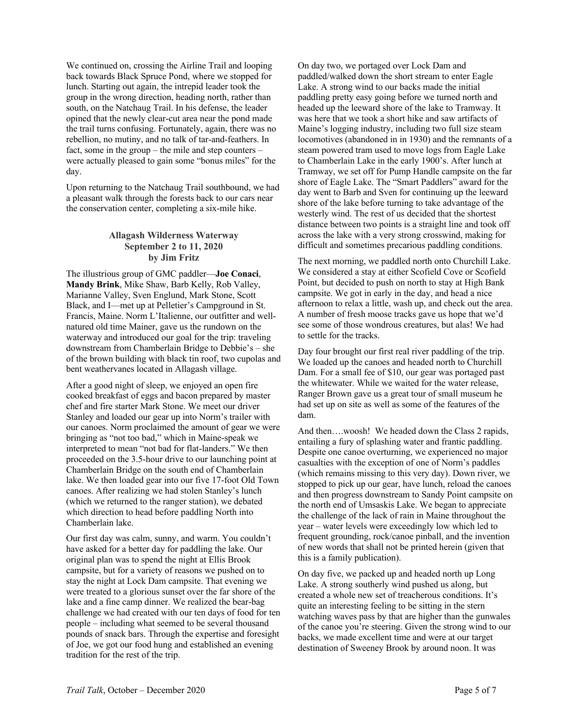We continued on, crossing the Airline Trail and looping back towards Black Spruce Pond, where we stopped for lunch. Starting out again, the intrepid leader took the group in the wrong direction, heading north, rather than south, on the Natchaug Trail. In his defense, the leader opined that the newly clear-cut area near the pond made the trail turns confusing. Fortunately, again, there was no rebellion, no mutiny, and no talk of tar-and-feathers. In fact, some in the group – the mile and step counters – were actually pleased to gain some "bonus miles" for the day.

Upon returning to the Natchaug Trail southbound, we had a pleasant walk through the forests back to our cars near the conservation center, completing a six-mile hike.

#### **Allagash Wilderness Waterway September 2 to 11, 2020 by Jim Fritz**

The illustrious group of GMC paddler—**Joe Conaci**, **Mandy Brink**, Mike Shaw, Barb Kelly, Rob Valley, Marianne Valley, Sven Englund, Mark Stone, Scott Black, and I—met up at Pelletier's Campground in St. Francis, Maine. Norm L'Italienne, our outfitter and wellnatured old time Mainer, gave us the rundown on the waterway and introduced our goal for the trip: traveling downstream from Chamberlain Bridge to Debbie's – she of the brown building with black tin roof, two cupolas and bent weathervanes located in Allagash village.

After a good night of sleep, we enjoyed an open fire cooked breakfast of eggs and bacon prepared by master chef and fire starter Mark Stone. We meet our driver Stanley and loaded our gear up into Norm's trailer with our canoes. Norm proclaimed the amount of gear we were bringing as "not too bad," which in Maine-speak we interpreted to mean "not bad for flat-landers." We then proceeded on the 3.5-hour drive to our launching point at Chamberlain Bridge on the south end of Chamberlain lake. We then loaded gear into our five 17-foot Old Town canoes. After realizing we had stolen Stanley's lunch (which we returned to the ranger station), we debated which direction to head before paddling North into Chamberlain lake.

Our first day was calm, sunny, and warm. You couldn't have asked for a better day for paddling the lake. Our original plan was to spend the night at Ellis Brook campsite, but for a variety of reasons we pushed on to stay the night at Lock Dam campsite. That evening we were treated to a glorious sunset over the far shore of the lake and a fine camp dinner. We realized the bear-bag challenge we had created with our ten days of food for ten people – including what seemed to be several thousand pounds of snack bars. Through the expertise and foresight of Joe, we got our food hung and established an evening tradition for the rest of the trip.

On day two, we portaged over Lock Dam and paddled/walked down the short stream to enter Eagle Lake. A strong wind to our backs made the initial paddling pretty easy going before we turned north and headed up the leeward shore of the lake to Tramway. It was here that we took a short hike and saw artifacts of Maine's logging industry, including two full size steam locomotives (abandoned in in 1930) and the remnants of a steam powered tram used to move logs from Eagle Lake to Chamberlain Lake in the early 1900's. After lunch at Tramway, we set off for Pump Handle campsite on the far shore of Eagle Lake. The "Smart Paddlers" award for the day went to Barb and Sven for continuing up the leeward shore of the lake before turning to take advantage of the westerly wind. The rest of us decided that the shortest distance between two points is a straight line and took off across the lake with a very strong crosswind, making for difficult and sometimes precarious paddling conditions.

The next morning, we paddled north onto Churchill Lake. We considered a stay at either Scofield Cove or Scofield Point, but decided to push on north to stay at High Bank campsite. We got in early in the day, and head a nice afternoon to relax a little, wash up, and check out the area. A number of fresh moose tracks gave us hope that we'd see some of those wondrous creatures, but alas! We had to settle for the tracks.

Day four brought our first real river paddling of the trip. We loaded up the canoes and headed north to Churchill Dam. For a small fee of \$10, our gear was portaged past the whitewater. While we waited for the water release, Ranger Brown gave us a great tour of small museum he had set up on site as well as some of the features of the dam.

And then….woosh! We headed down the Class 2 rapids, entailing a fury of splashing water and frantic paddling. Despite one canoe overturning, we experienced no major casualties with the exception of one of Norm's paddles (which remains missing to this very day). Down river, we stopped to pick up our gear, have lunch, reload the canoes and then progress downstream to Sandy Point campsite on the north end of Umsaskis Lake. We began to appreciate the challenge of the lack of rain in Maine throughout the year – water levels were exceedingly low which led to frequent grounding, rock/canoe pinball, and the invention of new words that shall not be printed herein (given that this is a family publication).

On day five, we packed up and headed north up Long Lake. A strong southerly wind pushed us along, but created a whole new set of treacherous conditions. It's quite an interesting feeling to be sitting in the stern watching waves pass by that are higher than the gunwales of the canoe you're steering. Given the strong wind to our backs, we made excellent time and were at our target destination of Sweeney Brook by around noon. It was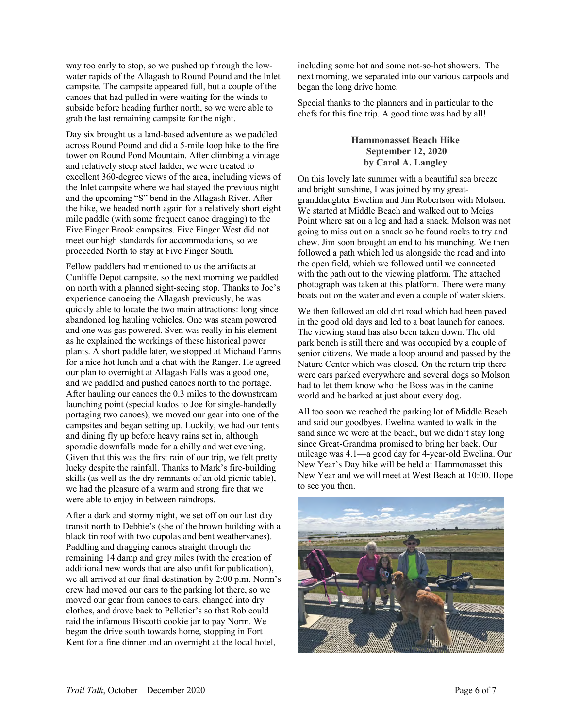way too early to stop, so we pushed up through the lowwater rapids of the Allagash to Round Pound and the Inlet campsite. The campsite appeared full, but a couple of the canoes that had pulled in were waiting for the winds to subside before heading further north, so we were able to grab the last remaining campsite for the night.

Day six brought us a land-based adventure as we paddled across Round Pound and did a 5-mile loop hike to the fire tower on Round Pond Mountain. After climbing a vintage and relatively steep steel ladder, we were treated to excellent 360-degree views of the area, including views of the Inlet campsite where we had stayed the previous night and the upcoming "S" bend in the Allagash River. After the hike, we headed north again for a relatively short eight mile paddle (with some frequent canoe dragging) to the Five Finger Brook campsites. Five Finger West did not meet our high standards for accommodations, so we proceeded North to stay at Five Finger South.

Fellow paddlers had mentioned to us the artifacts at Cunliffe Depot campsite, so the next morning we paddled on north with a planned sight-seeing stop. Thanks to Joe's experience canoeing the Allagash previously, he was quickly able to locate the two main attractions: long since abandoned log hauling vehicles. One was steam powered and one was gas powered. Sven was really in his element as he explained the workings of these historical power plants. A short paddle later, we stopped at Michaud Farms for a nice hot lunch and a chat with the Ranger. He agreed our plan to overnight at Allagash Falls was a good one, and we paddled and pushed canoes north to the portage. After hauling our canoes the 0.3 miles to the downstream launching point (special kudos to Joe for single-handedly portaging two canoes), we moved our gear into one of the campsites and began setting up. Luckily, we had our tents and dining fly up before heavy rains set in, although sporadic downfalls made for a chilly and wet evening. Given that this was the first rain of our trip, we felt pretty lucky despite the rainfall. Thanks to Mark's fire-building skills (as well as the dry remnants of an old picnic table), we had the pleasure of a warm and strong fire that we were able to enjoy in between raindrops.

After a dark and stormy night, we set off on our last day transit north to Debbie's (she of the brown building with a black tin roof with two cupolas and bent weathervanes). Paddling and dragging canoes straight through the remaining 14 damp and grey miles (with the creation of additional new words that are also unfit for publication), we all arrived at our final destination by 2:00 p.m. Norm's crew had moved our cars to the parking lot there, so we moved our gear from canoes to cars, changed into dry clothes, and drove back to Pelletier's so that Rob could raid the infamous Biscotti cookie jar to pay Norm. We began the drive south towards home, stopping in Fort Kent for a fine dinner and an overnight at the local hotel,

including some hot and some not-so-hot showers. The next morning, we separated into our various carpools and began the long drive home.

Special thanks to the planners and in particular to the chefs for this fine trip. A good time was had by all!

### **Hammonasset Beach Hike September 12, 2020 by Carol A. Langley**

On this lovely late summer with a beautiful sea breeze and bright sunshine, I was joined by my greatgranddaughter Ewelina and Jim Robertson with Molson. We started at Middle Beach and walked out to Meigs Point where sat on a log and had a snack. Molson was not going to miss out on a snack so he found rocks to try and chew. Jim soon brought an end to his munching. We then followed a path which led us alongside the road and into the open field, which we followed until we connected with the path out to the viewing platform. The attached photograph was taken at this platform. There were many boats out on the water and even a couple of water skiers.

We then followed an old dirt road which had been paved in the good old days and led to a boat launch for canoes. The viewing stand has also been taken down. The old park bench is still there and was occupied by a couple of senior citizens. We made a loop around and passed by the Nature Center which was closed. On the return trip there were cars parked everywhere and several dogs so Molson had to let them know who the Boss was in the canine world and he barked at just about every dog.

All too soon we reached the parking lot of Middle Beach and said our goodbyes. Ewelina wanted to walk in the sand since we were at the beach, but we didn't stay long since Great-Grandma promised to bring her back. Our mileage was 4.1—a good day for 4-year-old Ewelina. Our New Year's Day hike will be held at Hammonasset this New Year and we will meet at West Beach at 10:00. Hope to see you then.